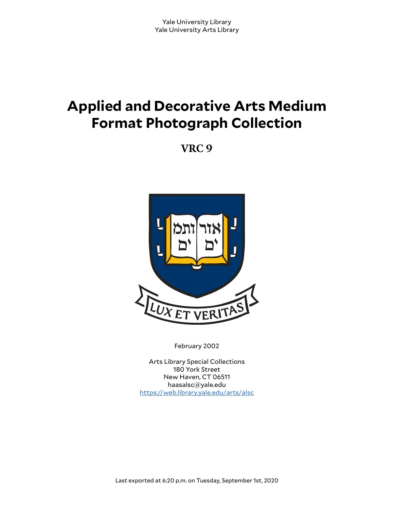# **Applied and Decorative Arts Medium Format Photograph Collection**

**VRC 9**



February 2002

Arts Library Special Collections 180 York Street New Haven, CT 06511 haasalsc@yale.edu <https://web.library.yale.edu/arts/alsc>

Last exported at 6:20 p.m. on Tuesday, September 1st, 2020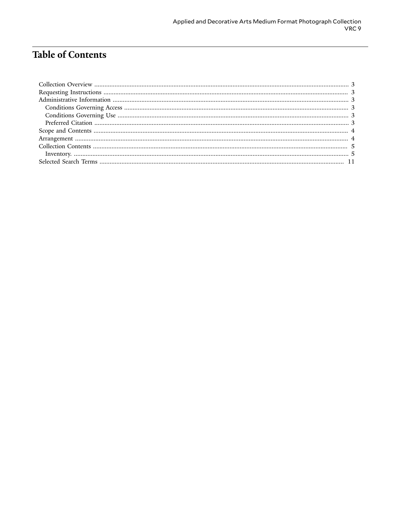# **Table of Contents**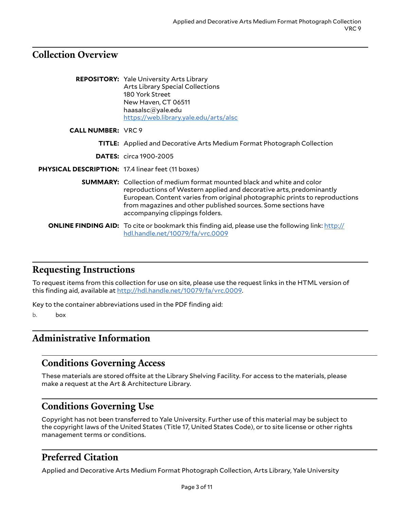# <span id="page-2-0"></span>**Collection Overview**

|                                                                                                                                                                                                                                                                                                                                          | <b>REPOSITORY:</b> Yale University Arts Library<br><b>Arts Library Special Collections</b><br>180 York Street<br>New Haven, CT 06511<br>haasalsc@yale.edu<br>https://web.library.yale.edu/arts/alsc |  |
|------------------------------------------------------------------------------------------------------------------------------------------------------------------------------------------------------------------------------------------------------------------------------------------------------------------------------------------|-----------------------------------------------------------------------------------------------------------------------------------------------------------------------------------------------------|--|
| <b>CALL NUMBER: VRC 9</b>                                                                                                                                                                                                                                                                                                                |                                                                                                                                                                                                     |  |
|                                                                                                                                                                                                                                                                                                                                          | <b>TITLE:</b> Applied and Decorative Arts Medium Format Photograph Collection                                                                                                                       |  |
|                                                                                                                                                                                                                                                                                                                                          | <b>DATES:</b> circa 1900-2005                                                                                                                                                                       |  |
|                                                                                                                                                                                                                                                                                                                                          | PHYSICAL DESCRIPTION: 17.4 linear feet (11 boxes)                                                                                                                                                   |  |
| <b>SUMMARY:</b> Collection of medium format mounted black and white and color<br>reproductions of Western applied and decorative arts, predominantly<br>European. Content varies from original photographic prints to reproductions<br>from magazines and other published sources. Some sections have<br>accompanying clippings folders. |                                                                                                                                                                                                     |  |
|                                                                                                                                                                                                                                                                                                                                          | <b>ONLINE FINDING AID:</b> To cite or bookmark this finding aid, please use the following link: http://<br>hdl.handle.net/10079/fa/vrc.0009                                                         |  |

## <span id="page-2-1"></span>**Requesting Instructions**

To request items from this collection for use on site, please use the request links in the HTML version of this finding aid, available at <http://hdl.handle.net/10079/fa/vrc.0009>.

Key to the container abbreviations used in the PDF finding aid:

b. box

# <span id="page-2-2"></span>**Administrative Information**

## <span id="page-2-3"></span>**Conditions Governing Access**

These materials are stored offsite at the Library Shelving Facility. For access to the materials, please make a request at the Art & Architecture Library.

## <span id="page-2-4"></span>**Conditions Governing Use**

Copyright has not been transferred to Yale University. Further use of this material may be subject to the copyright laws of the United States (Title 17, United States Code), or to site license or other rights management terms or conditions.

# <span id="page-2-5"></span>**Preferred Citation**

Applied and Decorative Arts Medium Format Photograph Collection, Arts Library, Yale University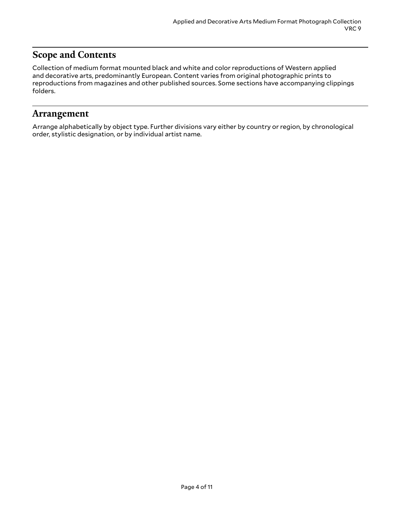# <span id="page-3-0"></span>**Scope and Contents**

Collection of medium format mounted black and white and color reproductions of Western applied and decorative arts, predominantly European. Content varies from original photographic prints to reproductions from magazines and other published sources. Some sections have accompanying clippings folders.

## <span id="page-3-1"></span>**Arrangement**

Arrange alphabetically by object type. Further divisions vary either by country or region, by chronological order, stylistic designation, or by individual artist name.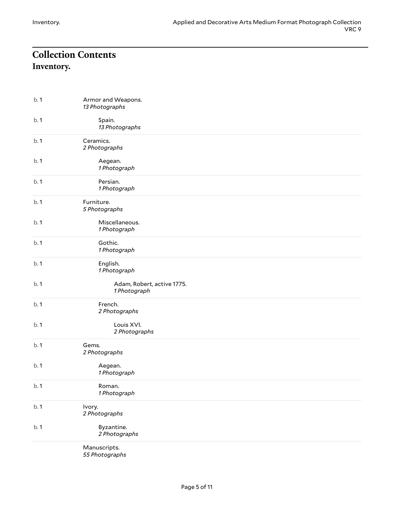# <span id="page-4-1"></span><span id="page-4-0"></span>**Collection Contents Inventory.**

| b.1 | Armor and Weapons.<br>13 Photographs       |
|-----|--------------------------------------------|
| b.1 | Spain.<br>13 Photographs                   |
| b.1 | Ceramics.<br>2 Photographs                 |
| b.1 | Aegean.<br>1 Photograph                    |
| b.1 | Persian.<br>1 Photograph                   |
| b.1 | Furniture.<br>5 Photographs                |
| b.1 | Miscellaneous.<br>1 Photograph             |
| b.1 | Gothic.<br>1 Photograph                    |
| b.1 | English.<br>1 Photograph                   |
| b.1 | Adam, Robert, active 1775.<br>1 Photograph |
| b.1 | French.<br>2 Photographs                   |
| b.1 | Louis XVI.<br>2 Photographs                |
| b.1 | Gems.<br>2 Photographs                     |
| b.1 | Aegean.<br>1 Photograph                    |
| b.1 | Roman.<br>1 Photograph                     |
| b.1 | Ivory.<br>2 Photographs                    |
| b.1 | Byzantine.<br>2 Photographs                |
|     | Manuscripts.                               |

*55 Photographs*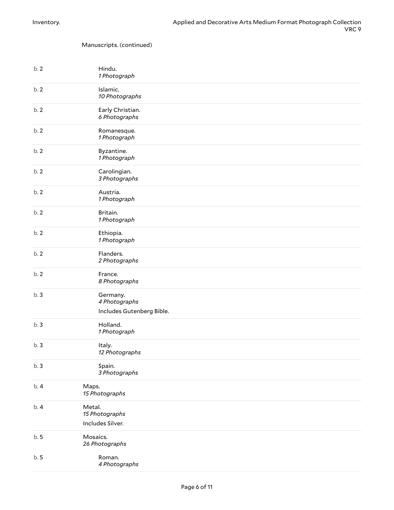#### Manuscripts. (continued)

| b.2 | Hindu.<br>1 Photograph                                 |
|-----|--------------------------------------------------------|
| b.2 | Islamic.<br>10 Photographs                             |
| b.2 | Early Christian.<br>6 Photographs                      |
| b.2 | Romanesque.<br>1 Photograph                            |
| b.2 | Byzantine.<br>1 Photograph                             |
| b.2 | Carolingian.<br>3 Photographs                          |
| b.2 | Austria.<br>1 Photograph                               |
| b.2 | Britain.<br>1 Photograph                               |
| b.2 | Ethiopia.<br>1 Photograph                              |
| b.2 | Flanders.<br>2 Photographs                             |
| b.2 | France.<br>8 Photographs                               |
| b.3 | Germany.<br>4 Photographs<br>Includes Gutenberg Bible. |
| b.3 | Holland.<br>1 Photograph                               |
| b.3 | Italy.<br>12 Photographs                               |
| b.3 | Spain.<br>3 Photographs                                |
| b.4 | Maps.<br>15 Photographs                                |
| b.4 | Metal.<br>15 Photographs<br>Includes Silver.           |
| b.5 | Mosaics.<br>26 Photographs                             |
| b.5 | Roman.<br>4 Photographs                                |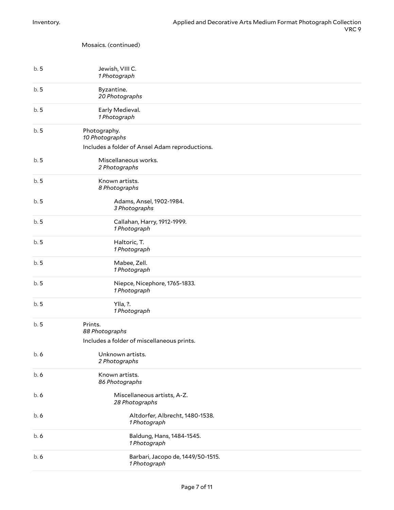Mosaics. (continued)

| b.5 | Jewish, VIII C.<br>1 Photograph                   |
|-----|---------------------------------------------------|
| b.5 | Byzantine.<br>20 Photographs                      |
| b.5 | Early Medieval.<br>1 Photograph                   |
| b.5 | Photography.<br>10 Photographs                    |
|     | Includes a folder of Ansel Adam reproductions.    |
| b.5 | Miscellaneous works.<br>2 Photographs             |
| b.5 | Known artists.<br>8 Photographs                   |
| b.5 | Adams, Ansel, 1902-1984.<br>3 Photographs         |
| b.5 | Callahan, Harry, 1912-1999.<br>1 Photograph       |
| b.5 | Haltoric, T.<br>1 Photograph                      |
| b.5 | Mabee, Zell.<br>1 Photograph                      |
| b.5 | Niepce, Nicephore, 1765-1833.<br>1 Photograph     |
| b.5 | Ylla, ?.<br>1 Photograph                          |
| b.5 | Prints.<br>88 Photographs                         |
|     | Includes a folder of miscellaneous prints.        |
| b.6 | Unknown artists.<br>2 Photographs                 |
| b.6 | Known artists.<br>86 Photographs                  |
| b.6 | Miscellaneous artists, A-Z.<br>28 Photographs     |
| b.6 | Altdorfer, Albrecht, 1480-1538.<br>1 Photograph   |
| b.6 | Baldung, Hans, 1484-1545.<br>1 Photograph         |
| b.6 | Barbari, Jacopo de, 1449/50-1515.<br>1 Photograph |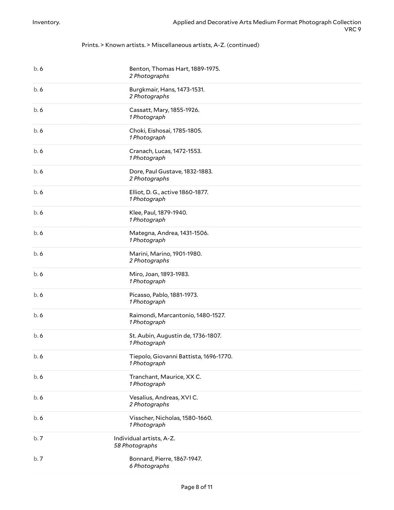#### Prints. > Known artists. > Miscellaneous artists, A-Z. (continued)

| b.6  | Benton, Thomas Hart, 1889-1975.<br>2 Photographs       |  |
|------|--------------------------------------------------------|--|
| b.6  | Burgkmair, Hans, 1473-1531.<br>2 Photographs           |  |
| b. 6 | Cassatt, Mary, 1855-1926.<br>1 Photograph              |  |
| b. 6 | Choki, Eishosai, 1785-1805.<br>1 Photograph            |  |
| b.6  | Cranach, Lucas, 1472-1553.<br>1 Photograph             |  |
| b.6  | Dore, Paul Gustave, 1832-1883.<br>2 Photographs        |  |
| b. 6 | Elliot, D. G., active 1860-1877.<br>1 Photograph       |  |
| b.6  | Klee, Paul, 1879-1940.<br>1 Photograph                 |  |
| b.6  | Mategna, Andrea, 1431-1506.<br>1 Photograph            |  |
| b.6  | Marini, Marino, 1901-1980.<br>2 Photographs            |  |
| b.6  | Miro, Joan, 1893-1983.<br>1 Photograph                 |  |
| b.6  | Picasso, Pablo, 1881-1973.<br>1 Photograph             |  |
| b. 6 | Raimondi, Marcantonio, 1480-1527.<br>1 Photograph      |  |
| b.6  | St. Aubin, Augustin de, 1736-1807.<br>1 Photograph     |  |
| b.6  | Tiepolo, Giovanni Battista, 1696-1770.<br>1 Photograph |  |
| b.6  | Tranchant, Maurice, XX C.<br>1 Photograph              |  |
| b.6  | Vesalius, Andreas, XVI C.<br>2 Photographs             |  |
| b.6  | Visscher, Nicholas, 1580-1660.<br>1 Photograph         |  |
| b.7  | Individual artists, A-Z.<br>58 Photographs             |  |
| b.7  | Bonnard, Pierre, 1867-1947.<br>6 Photographs           |  |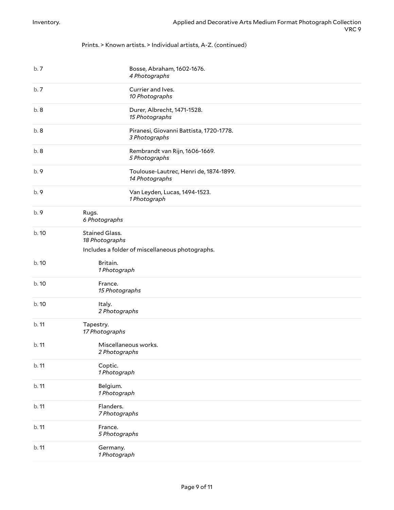#### Prints. > Known artists. > Individual artists, A-Z. (continued)

| b.7   | Bosse, Abraham, 1602-1676.<br>4 Photographs                                                |  |  |
|-------|--------------------------------------------------------------------------------------------|--|--|
| b.7   | Currier and Ives.<br>10 Photographs                                                        |  |  |
| b.8   | Durer, Albrecht, 1471-1528.<br>15 Photographs                                              |  |  |
| b.8   | Piranesi, Giovanni Battista, 1720-1778.<br>3 Photographs                                   |  |  |
| b.8   | Rembrandt van Rijn, 1606-1669.<br>5 Photographs                                            |  |  |
| b. 9  | Toulouse-Lautrec, Henri de, 1874-1899.<br>14 Photographs                                   |  |  |
| b. 9  | Van Leyden, Lucas, 1494-1523.<br>1 Photograph                                              |  |  |
| b. 9  | Rugs.<br>6 Photographs                                                                     |  |  |
| b. 10 | <b>Stained Glass.</b><br>18 Photographs<br>Includes a folder of miscellaneous photographs. |  |  |
| b.10  | Britain.<br>1 Photograph                                                                   |  |  |
| b.10  | France.<br>15 Photographs                                                                  |  |  |
| b.10  | Italy.<br>2 Photographs                                                                    |  |  |
| b.11  | Tapestry.<br>17 Photographs                                                                |  |  |
| b. 11 | Miscellaneous works.<br>2 Photographs                                                      |  |  |
| b. 11 | Coptic.<br>1 Photograph                                                                    |  |  |
| b. 11 | Belgium.<br>1 Photograph                                                                   |  |  |
| b. 11 | Flanders.<br>7 Photographs                                                                 |  |  |
| b. 11 | France.<br>5 Photographs                                                                   |  |  |
| b. 11 | Germany.<br>1 Photograph                                                                   |  |  |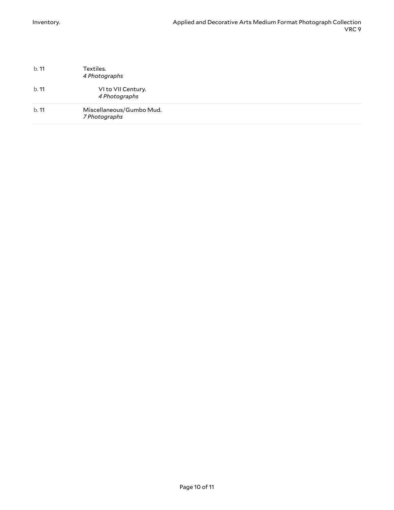| b.11 | Textiles.<br>4 Photographs                |  |
|------|-------------------------------------------|--|
| b.11 | VI to VII Century.<br>4 Photographs       |  |
| b.11 | Miscellaneous/Gumbo Mud.<br>7 Photographs |  |